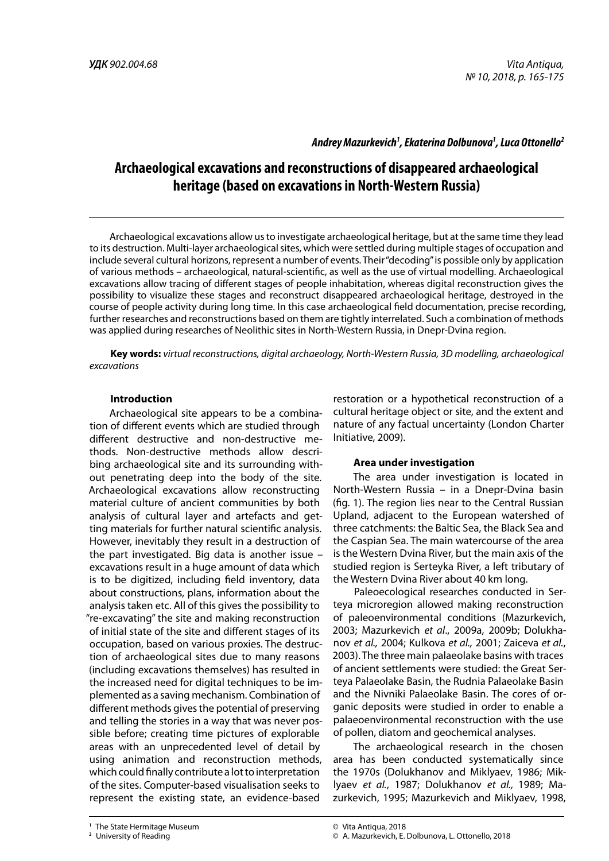## *Andrey Mazurkevich1 , Ekaterina Dolbunova1 , Luca Ottonello2*

# **Archaeological excavations and reconstructions of disappeared archaeological heritage (based on excavations in North-Western Russia)**

Archaeological excavations allow us to investigate archaeological heritage, but at the same time they lead to its destruction. Multi-layer archaeological sites, which were settled during multiple stages of occupation and include several cultural horizons, represent a number of events. Their "decoding" is possible only by application of various methods – archaeological, natural-scientific, as well as the use of virtual modelling. Archaeological excavations allow tracing of different stages of people inhabitation, whereas digital reconstruction gives the possibility to visualize these stages and reconstruct disappeared archaeological heritage, destroyed in the course of people activity during long time. In this case archaeological field documentation, precise recording, further researches and reconstructions based on them are tightly interrelated. Such a combination of methods was applied during researches of Neolithic sites in North-Western Russia, in Dnepr-Dvina region.

**Key words:** *virtual reconstructions, digital archaeology, North-Western Russia, 3D modelling, archaeological excavations*

#### **Introduction**

Archaeological site appears to be a combination of different events which are studied through different destructive and non-destructive methods. Non-destructive methods allow describing archaeological site and its surrounding without penetrating deep into the body of the site. Archaeological excavations allow reconstructing material culture of ancient communities by both analysis of cultural layer and artefacts and getting materials for further natural scientific analysis. However, inevitably they result in a destruction of the part investigated. Big data is another issue – excavations result in a huge amount of data which is to be digitized, including field inventory, data about constructions, plans, information about the analysis taken etc. All of this gives the possibility to "re-excavating" the site and making reconstruction of initial state of the site and different stages of its occupation, based on various proxies. The destruction of archaeological sites due to many reasons (including excavations themselves) has resulted in the increased need for digital techniques to be implemented as a saving mechanism. Combination of different methods gives the potential of preserving and telling the stories in a way that was never possible before; creating time pictures of explorable areas with an unprecedented level of detail by using animation and reconstruction methods, which could finally contribute a lot to interpretation of the sites. Computer-based visualisation seeks to represent the existing state, an evidence-based

restoration or a hypothetical reconstruction of a cultural heritage object or site, and the extent and nature of any factual uncertainty (London Charter Initiative, 2009).

#### **Area under investigation**

The area under investigation is located in North-Western Russia – in a Dnepr-Dvina basin (fig. 1). The region lies near to the Central Russian Upland, adjacent to the European watershed of three catchments: the Baltic Sea, the Black Sea and the Caspian Sea. The main watercourse of the area is the Western Dvina River, but the main axis of the studied region is Serteyka River, a left tributary of the Western Dvina River about 40 km long.

Paleoecological researches conducted in Serteya microregion allowed making reconstruction of paleoenvironmental conditions (Mazurkevich, 2003; Mazurkevich *et al*., 2009a, 2009b; Dolukhanov *et al.,* 2004; Kulkova *et al.,* 2001; Zaiceva *et al.*, 2003). The three main palaeolake basins with traces of ancient settlements were studied: the Great Serteya Palaeolake Basin, the Rudnia Palaeolake Basin and the Nivniki Palaeolake Basin. The cores of organic deposits were studied in order to enable a palaeoenvironmental reconstruction with the use of pollen, diatom and geochemical analyses.

The archaeological research in the chosen area has been conducted systematically since the 1970s (Dolukhanov and Miklyaev, 1986; Miklyaev *et al.*, 1987; Dolukhanov *et al.,* 1989; Mazurkevich, 1995; Mazurkevich and Miklyaev, 1998,

**<sup>1</sup>** The State Hermitage Museum **ISSN 2018 165 ISSN 2018 ISSN 2018** 

**<sup>2</sup>** University of Reading

<sup>©</sup> Vita Antiqua, 2018

<sup>©</sup> A. Mazurkevich, E. Dolbunova, L. Ottonello, 2018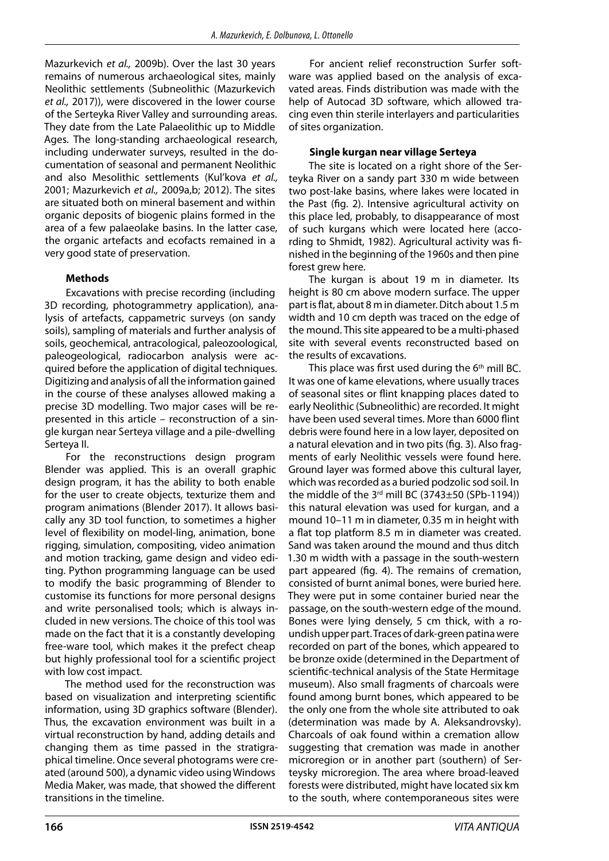Mazurkevich *et al.,* 2009b). Over the last 30 years remains of numerous archaeological sites, mainly Neolithic settlements (Subneolithic (Mazurkevich *et al.,* 2017)), were discovered in the lower course of the Serteyka River Valley and surrounding areas. They date from the Late Palaeolithic up to Middle Ages. The long-standing archaeological research, including underwater surveys, resulted in the documentation of seasonal and permanent Neolithic and also Mesolithic settlements (Kul'kova *et al.,* 2001; Mazurkevich *et al.,* 2009a,b; 2012). The sites are situated both on mineral basement and within organic deposits of biogenic plains formed in the area of a few palaeolake basins. In the latter case, the organic artefacts and ecofacts remained in a very good state of preservation.

### **Methods**

Excavations with precise recording (including 3D recording, photogrammetry application), analysis of artefacts, cappametric surveys (on sandy soils), sampling of materials and further analysis of soils, geochemical, antracological, paleozoological, paleogeological, radiocarbon analysis were acquired before the application of digital techniques. Digitizing and analysis of all the information gained in the course of these analyses allowed making a precise 3D modelling. Two major cases will be represented in this article – reconstruction of a single kurgan near Serteya village and a pile-dwelling Serteya II.

For the reconstructions design program Blender was applied. This is an overall graphic design program, it has the ability to both enable for the user to create objects, texturize them and program animations (Blender 2017). It allows basically any 3D tool function, to sometimes a higher level of flexibility on model-ling, animation, bone rigging, simulation, compositing, video animation and motion tracking, game design and video editing. Python programming language can be used to modify the basic programming of Blender to customise its functions for more personal designs and write personalised tools; which is always included in new versions. The choice of this tool was made on the fact that it is a constantly developing free-ware tool, which makes it the prefect cheap but highly professional tool for a scientific project with low cost impact.

The method used for the reconstruction was based on visualization and interpreting scientific information, using 3D graphics software (Blender). Thus, the excavation environment was built in a virtual reconstruction by hand, adding details and changing them as time passed in the stratigraphical timeline. Once several photograms were created (around 500), a dynamic video using Windows Media Maker, was made, that showed the different transitions in the timeline.

For ancient relief reconstruction Surfer software was applied based on the analysis of excavated areas. Finds distribution was made with the help of Autocad 3D software, which allowed tracing even thin sterile interlayers and particularities of sites organization.

#### **Single kurgan near village Serteya**

The site is located on a right shore of the Serteyka River on a sandy part 330 m wide between two post-lake basins, where lakes were located in the Past (fig. 2). Intensive agricultural activity on this place led, probably, to disappearance of most of such kurgans which were located here (according to Shmidt, 1982). Agricultural activity was finished in the beginning of the 1960s and then pine forest grew here.

The kurgan is about 19 m in diameter. Its height is 80 cm above modern surface. The upper part is flat, about 8 m in diameter. Ditch about 1.5 m width and 10 cm depth was traced on the edge of the mound. This site appeared to be a multi-phased site with several events reconstructed based on the results of excavations.

This place was first used during the  $6<sup>th</sup>$  mill BC. It was one of kame elevations, where usually traces of seasonal sites or flint knapping places dated to early Neolithic (Subneolithic) are recorded. It might have been used several times. More than 6000 flint debris were found here in a low layer, deposited on a natural elevation and in two pits (fig. 3). Also fragments of early Neolithic vessels were found here. Ground layer was formed above this cultural layer, which was recorded as a buried podzolic sod soil. In the middle of the  $3<sup>rd</sup>$  mill BC (3743 $\pm$ 50 (SPb-1194)) this natural elevation was used for kurgan, and a mound 10–11 m in diameter, 0.35 m in height with a flat top platform 8.5 m in diameter was created. Sand was taken around the mound and thus ditch 1.30 m width with a passage in the south-western part appeared (fig. 4). The remains of cremation, consisted of burnt animal bones, were buried here. They were put in some container buried near the passage, on the south-western edge of the mound. Bones were lying densely, 5 cm thick, with a roundish upper part. Traces of dark-green patina were recorded on part of the bones, which appeared to be bronze oxide (determined in the Department of scientific-technical analysis of the State Hermitage museum). Also small fragments of charcoals were found among burnt bones, which appeared to be the only one from the whole site attributed to oak (determination was made by A. Aleksandrovsky). Charcoals of oak found within a cremation allow suggesting that cremation was made in another microregion or in another part (southern) of Serteysky microregion. The area where broad-leaved forests were distributed, might have located six km to the south, where contemporaneous sites were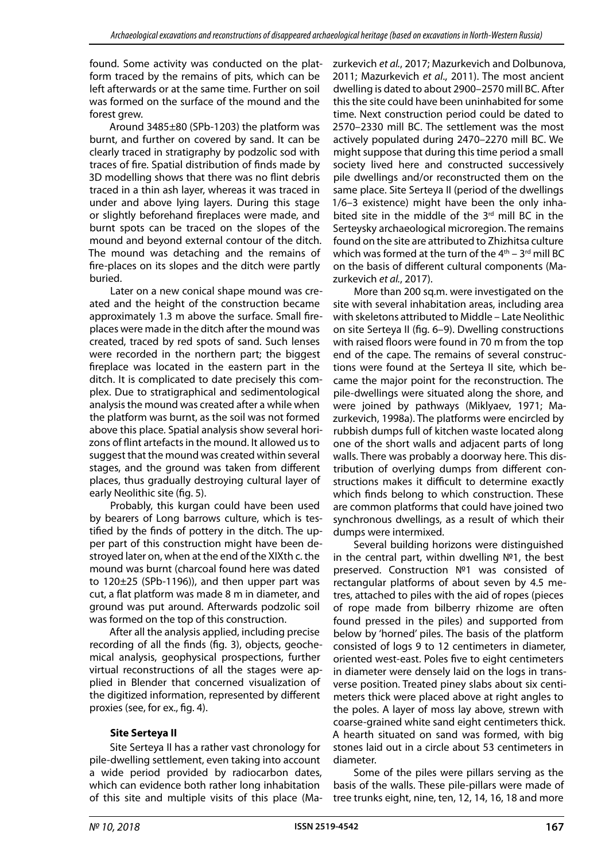found. Some activity was conducted on the platform traced by the remains of pits, which can be left afterwards or at the same time. Further on soil was formed on the surface of the mound and the forest arew.

Around 3485±80 (SPb-1203) the platform was burnt, and further on covered by sand. It can be clearly traced in stratigraphy by podzolic sod with traces of fire. Spatial distribution of finds made by 3D modelling shows that there was no flint debris traced in a thin ash layer, whereas it was traced in under and above lying layers. During this stage or slightly beforehand fireplaces were made, and burnt spots can be traced on the slopes of the mound and beyond external contour of the ditch. The mound was detaching and the remains of fire-places on its slopes and the ditch were partly buried.

Later on a new conical shape mound was created and the height of the construction became approximately 1.3 m above the surface. Small fireplaces were made in the ditch after the mound was created, traced by red spots of sand. Such lenses were recorded in the northern part; the biggest fireplace was located in the eastern part in the ditch. It is complicated to date precisely this complex. Due to stratigraphical and sedimentological analysis the mound was created after a while when the platform was burnt, as the soil was not formed above this place. Spatial analysis show several horizons of flint artefacts in the mound. It allowed us to suggest that the mound was created within several stages, and the ground was taken from different places, thus gradually destroying cultural layer of early Neolithic site (fig. 5).

Probably, this kurgan could have been used by bearers of Long barrows culture, which is testified by the finds of pottery in the ditch. The upper part of this construction might have been destroyed later on, when at the end of the XIXth c. the mound was burnt (charcoal found here was dated to  $120\pm25$  (SPb-1196)), and then upper part was cut, a flat platform was made 8 m in diameter, and ground was put around. Afterwards podzolic soil was formed on the top of this construction.

After all the analysis applied, including precise recording of all the finds (fig. 3), objects, geochemical analysis, geophysical prospections, further virtual reconstructions of all the stages were applied in Blender that concerned visualization of the digitized information, represented by different proxies (see, for ex., fig. 4).

# **Site Serteya II**

Site Serteya II has a rather vast chronology for pile-dwelling settlement, even taking into account a wide period provided by radiocarbon dates, which can evidence both rather long inhabitation of this site and multiple visits of this place (Ma-

zurkevich *et al.*, 2017; Mazurkevich and Dolbunova, 2011; Mazurkevich *et al*., 2011). The most ancient dwelling is dated to about 2900–2570 mill BC. After this the site could have been uninhabited for some time. Next construction period could be dated to 2570–2330 mill BC. The settlement was the most actively populated during 2470–2270 mill BC. We might suppose that during this time period a small society lived here and constructed successively pile dwellings and/or reconstructed them on the same place. Site Serteya II (period of the dwellings 1/6–3 existence) might have been the only inhabited site in the middle of the 3<sup>rd</sup> mill BC in the Serteysky archaeological microregion. The remains found on the site are attributed to Zhizhitsa culture which was formed at the turn of the  $4<sup>th</sup> - 3<sup>rd</sup>$  mill BC on the basis of different cultural components (Mazurkevich *et al.*, 2017).

More than 200 sq.m. were investigated on the site with several inhabitation areas, including area with skeletons attributed to Middle – Late Neolithic on site Serteya II (fig. 6–9). Dwelling constructions with raised floors were found in 70 m from the top end of the cape. The remains of several constructions were found at the Serteya II site, which became the major point for the reconstruction. The pile-dwellings were situated along the shore, and were joined by pathways (Miklyaev, 1971; Mazurkevich, 1998a). The platforms were encircled by rubbish dumps full of kitchen waste located along one of the short walls and adjacent parts of long walls. There was probably a doorway here. This distribution of overlying dumps from different constructions makes it difficult to determine exactly which finds belong to which construction. These are common platforms that could have joined two synchronous dwellings, as a result of which their dumps were intermixed.

Several building horizons were distinguished in the central part, within dwelling №1, the best preserved. Construction №1 was consisted of rectangular platforms of about seven by 4.5 metres, attached to piles with the aid of ropes (pieces of rope made from bilberry rhizome are often found pressed in the piles) and supported from below by 'horned' piles. The basis of the platform consisted of logs 9 to 12 centimeters in diameter, oriented west-east. Poles five to eight centimeters in diameter were densely laid on the logs in transverse position. Treated piney slabs about six centimeters thick were placed above at right angles to the poles. A layer of moss lay above, strewn with coarse-grained white sand eight centimeters thick. A hearth situated on sand was formed, with big stones laid out in a circle about 53 centimeters in diameter.

Some of the piles were pillars serving as the basis of the walls. These pile-pillars were made of tree trunks eight, nine, ten, 12, 14, 16, 18 and more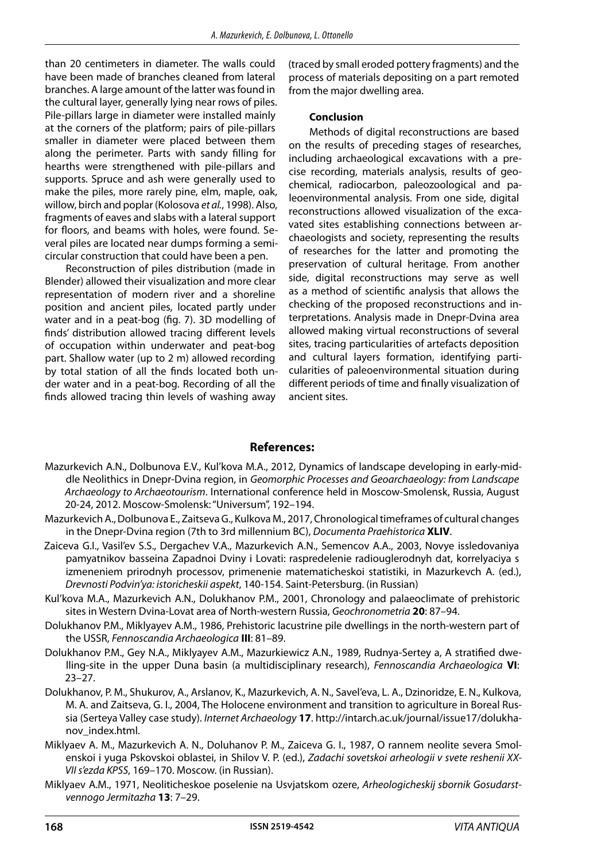than 20 centimeters in diameter. The walls could have been made of branches cleaned from lateral branches. A large amount of the latter was found in the cultural layer, generally lying near rows of piles. Pile-pillars large in diameter were installed mainly at the corners of the platform; pairs of pile-pillars smaller in diameter were placed between them along the perimeter. Parts with sandy filling for hearths were strengthened with pile-pillars and supports. Spruce and ash were generally used to make the piles, more rarely pine, elm, maple, oak, willow, birch and poplar (Kolosova *et al.*, 1998). Also, fragments of eaves and slabs with a lateral support for floors, and beams with holes, were found. Several piles are located near dumps forming a semicircular construction that could have been a pen.

Reconstruction of piles distribution (made in Blender) allowed their visualization and more clear representation of modern river and a shoreline position and ancient piles, located partly under water and in a peat-bog (fig. 7). 3D modelling of finds' distribution allowed tracing different levels of occupation within underwater and peat-bog part. Shallow water (up to 2 m) allowed recording by total station of all the finds located both under water and in a peat-bog. Recording of all the finds allowed tracing thin levels of washing away

(traced by small eroded pottery fragments) and the process of materials depositing on a part remoted from the major dwelling area.

#### **Conclusion**

Methods of digital reconstructions are based on the results of preceding stages of researches, including archaeological excavations with a precise recording, materials analysis, results of geochemical, radiocarbon, paleozoological and paleoenvironmental analysis. From one side, digital reconstructions allowed visualization of the excavated sites establishing connections between archaeologists and society, representing the results of researches for the latter and promoting the preservation of cultural heritage. From another side, digital reconstructions may serve as well as a method of scientific analysis that allows the checking of the proposed reconstructions and interpretations. Analysis made in Dnepr-Dvina area allowed making virtual reconstructions of several sites, tracing particularities of artefacts deposition and cultural layers formation, identifying particularities of paleoenvironmental situation during different periods of time and finally visualization of ancient sites.

# **References:**

- Mazurkevich A.N., Dolbunova E.V., Kul'kova M.A., 2012, Dynamics of landscape developing in early-middle Neolithics in Dnepr-Dvina region, in *Geomorphic Processes and Geoarchaeology: from Landscape Archaeology to Archaeotourism*. International conference held in Moscow-Smolensk, Russia, August 20-24, 2012. Moscow-Smolensk: "Universum", 192–194.
- Mazurkevich A., Dolbunova E., Zaitseva G., Kulkova M., 2017, Chronological timeframes of cultural changes in the Dnepr-Dvina region (7th to 3rd millennium BC), *Documenta Praehistorica* **XLIV**.
- Zaiceva G.I., Vasil'ev S.S., Dergachev V.A., Mazurkevich A.N., Semencov A.A., 2003, Novye issledovaniya pamyatnikov basseina Zapadnoi Dviny i Lovati: raspredelenie radiouglerodnyh dat, korrelyaciya s izmeneniem prirodnyh processov, primenenie matematicheskoi statistiki, in Mazurkevch A. (ed.), *Drevnosti Podvin'ya: istoricheskii aspekt*, 140-154. Saint-Petersburg. (in Russian)
- Kul'kova M.A., Mazurkevich A.N., Dolukhanov P.M., 2001, Chronology and palaeoclimate of prehistoric sites in Western Dvina-Lovat area of North-western Russia, *Geochronometria* **20**: 87–94.
- Dolukhanov P.M., Miklyayev A.M., 1986, Prehistoric lacustrine pile dwellings in the north-western part of the USSR, *Fennoscandia Archaeologica* **III**: 81–89.
- Dolukhanov P.M., Gey N.A., Miklyayev A.M., Mazurkiewicz A.N., 1989, Rudnya-Sertey a, A stratified dwelling-site in the upper Duna basin (a multidisciplinary research), *Fennoscandia Archaeologica* **VI**: 23–27.
- Dolukhanov, P. M., Shukurov, A., Arslanov, K., Mazurkevich, A. N., Savel'eva, L. A., Dzinoridze, E. N., Kulkova, M. A. and Zaitseva, G. I., 2004, The Holocene environment and transition to agriculture in Boreal Russia (Serteya Valley case study). *Internet Archaeology* **17**. http://intarch.ac.uk/journal/issue17/dolukhanov\_index.html.
- Miklyaev A. M., Mazurkevich A. N., Doluhanov P. M., Zaiceva G. I., 1987, O rannem neolite severa Smolenskoi i yuga Pskovskoi oblastei, in Shilov V. P. (ed.), *Zadachi sovetskoi arheologii v svete reshenii XX-VII s'ezda KPSS*, 169–170. Moscow. (in Russian).
- Miklyaev A.M., 1971, Neoliticheskoe poselenie na Usvjatskom ozere, *Arheologicheskij sbornik Gosudarstvennogo Jermitazha* **13**: 7–29.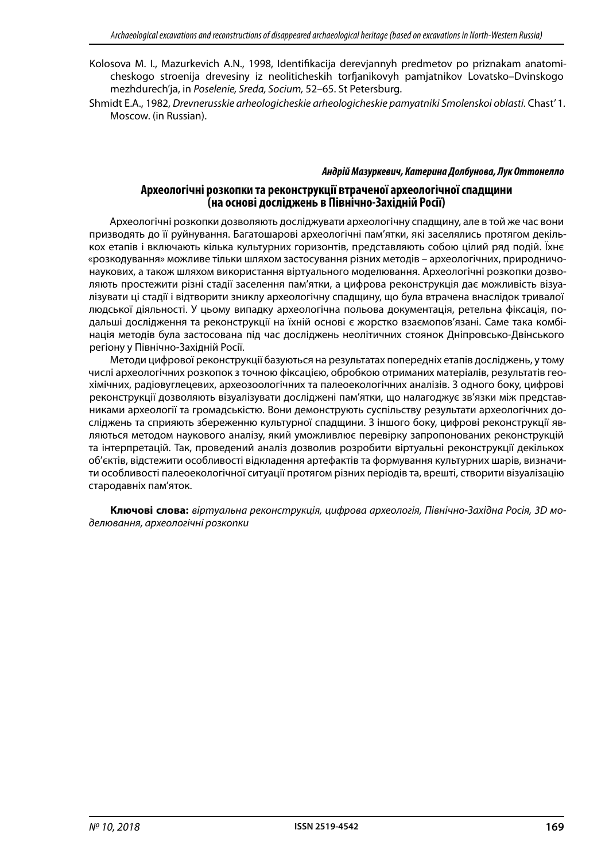- Kolosova M. I., Mazurkevich A.N., 1998, Identifikacija derevjannyh predmetov po priznakam anatomicheskogo stroenija drevesiny iz neoliticheskih torfjanikovyh pamjatnikov Lovatsko–Dvinskogo mezhdurech'ja, in *Poselenie, Sreda, Socium,* 52–65. St Petersburg.
- Shmidt E.A., 1982, *Drevnerusskie arheologicheskie arheologicheskie pamyatniki Smolenskoi oblasti.* Chast' 1. Moscow. (in Russian).

#### *Андрій Мазуркевич, Катерина Долбунова, Лук Оттонелло*

## **Археологічні розкопки та реконструкції втраченої археологічної спадщини (на основі досліджень в Північно-Західній Росії)**

Археологічні розкопки дозволяють досліджувати археологічну спадщину, але в той же час вони призводять до її руйнування. Багатошарові археологічні пам'ятки, які заселялись протягом декількох етапів і включають кілька культурних горизонтів, представляють собою цілий ряд подій. Їхнє «розкодування» можливе тільки шляхом застосування різних методів – археологічних, природничонаукових, а також шляхом використання віртуального моделювання. Археологічні розкопки дозволяють простежити різні стадії заселення пам'ятки, а цифрова реконструкція дає можливість візуалізувати ці стадії і відтворити зниклу археологічну спадщину, що була втрачена внаслідок тривалої людської діяльності. У цьому випадку археологічна польова документація, ретельна фіксація, подальші дослідження та реконструкції на їхній основі є жорстко взаємопов'язані. Саме така комбінація методів була застосована під час досліджень неолітичних стоянок Дніпровсько-Двінського регіону у Північно-Західній Росії.

Методи цифрової реконструкції базуються на результатах попередніх етапів досліджень, у тому числі археологічних розкопок з точною фіксацією, обробкою отриманих матеріалів, результатів геохімічних, радіовуглецевих, археозоологічних та палеоекологічних аналізів. З одного боку, цифрові реконструкції дозволяють візуалізувати досліджені пам'ятки, що налагоджує зв'язки між представниками археології та громадськістю. Вони демонструють суспільству результати археологічних досліджень та сприяють збереженню культурної спадщини. З іншого боку, цифрові реконструкції являються методом наукового аналізу, який уможливлює перевірку запропонованих реконструкцій та інтерпретацій. Так, проведений аналіз дозволив розробити віртуальні реконструкції декількох об'єктів, відстежити особливості відкладення артефактів та формування культурних шарів, визначити особливості палеоекологічної ситуації протягом різних періодів та, врешті, створити візуалізацію стародавніх пам'яток.

**Ключові слова:** *віртуальна реконструкція, цифрова археологія, Північно-Західна Росія, 3D моделювання, археологічні розкопки*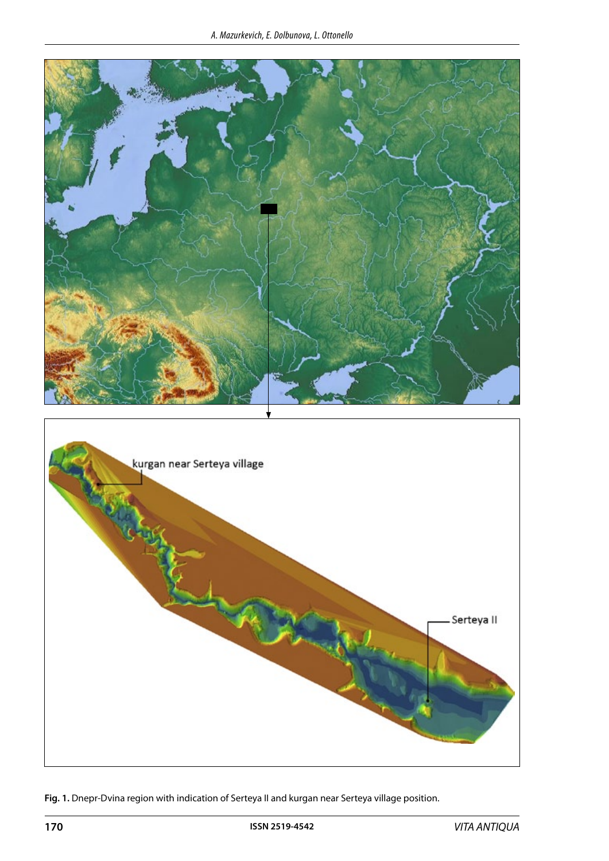

**Fig. 1.** Dnepr-Dvina region with indication of Serteya II and kurgan near Serteya village position.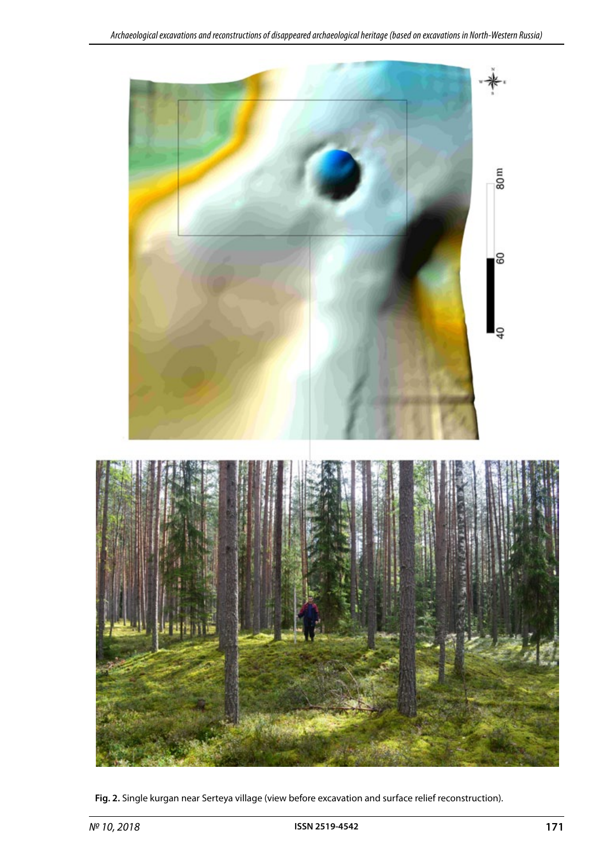

**Fig. 2.** Single kurgan near Serteya village (view before excavation and surface relief reconstruction).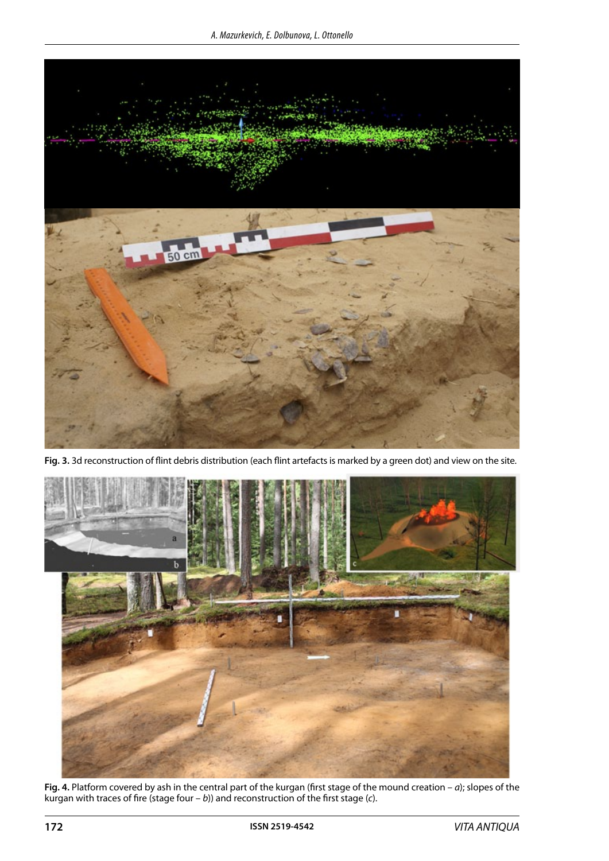

**Fig. 3.** 3d reconstruction of flint debris distribution (each flint artefacts is marked by a green dot) and view on the site.



**Fig. 4.** Platform covered by ash in the central part of the kurgan (first stage of the mound creation – *а*); slopes of the kurgan with traces of fire (stage four – *b*)) and reconstruction of the first stage (*c*).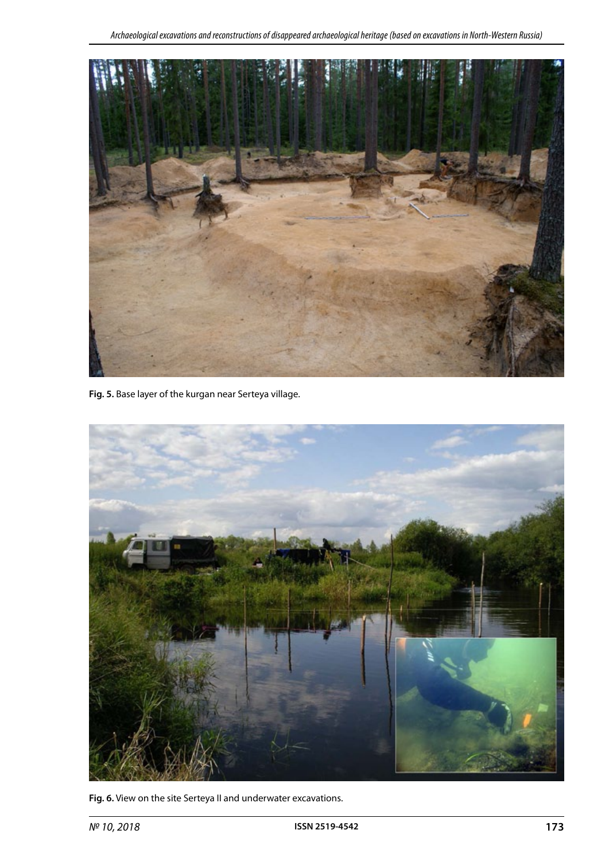

**Fig. 5.** Base layer of the kurgan near Serteya village.



**Fig. 6.** View on the site Serteya II and underwater excavations.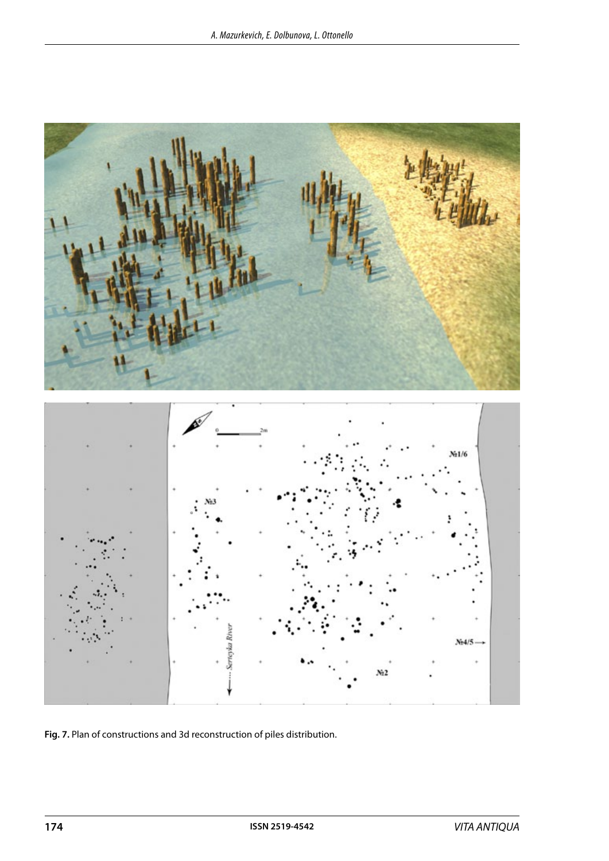

**Fig. 7.** Plan of constructions and 3d reconstruction of piles distribution.